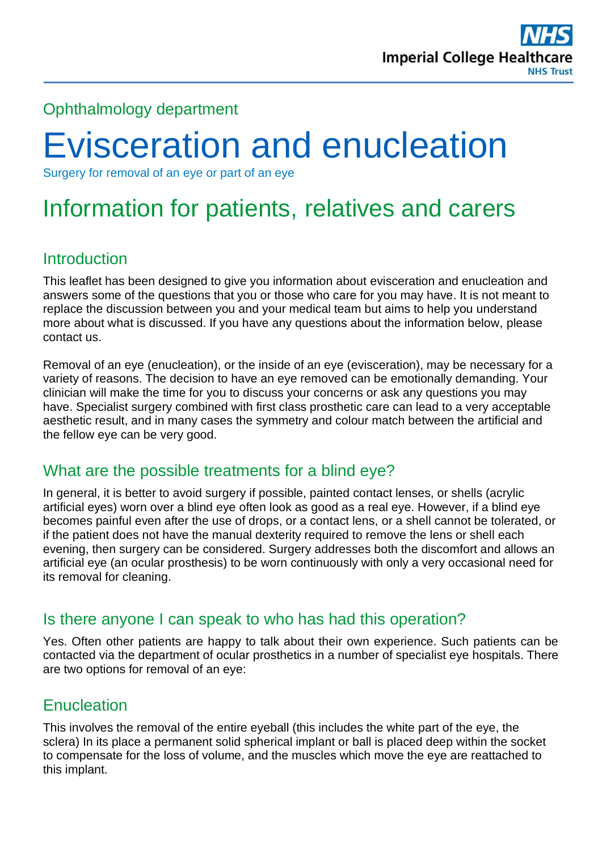

### Ophthalmology department

# Evisceration and enucleation

Surgery for removal of an eye or part of an eye

## Information for patients, relatives and carers

#### **Introduction**

This leaflet has been designed to give you information about evisceration and enucleation and answers some of the questions that you or those who care for you may have. It is not meant to replace the discussion between you and your medical team but aims to help you understand more about what is discussed. If you have any questions about the information below, please contact us.

Removal of an eye (enucleation), or the inside of an eye (evisceration), may be necessary for a variety of reasons. The decision to have an eye removed can be emotionally demanding. Your clinician will make the time for you to discuss your concerns or ask any questions you may have. Specialist surgery combined with first class prosthetic care can lead to a very acceptable aesthetic result, and in many cases the symmetry and colour match between the artificial and the fellow eye can be very good.

#### What are the possible treatments for a blind eye?

In general, it is better to avoid surgery if possible, painted contact lenses, or shells (acrylic artificial eyes) worn over a blind eye often look as good as a real eye. However, if a blind eye becomes painful even after the use of drops, or a contact lens, or a shell cannot be tolerated, or if the patient does not have the manual dexterity required to remove the lens or shell each evening, then surgery can be considered. Surgery addresses both the discomfort and allows an artificial eye (an ocular prosthesis) to be worn continuously with only a very occasional need for its removal for cleaning.

#### Is there anyone I can speak to who has had this operation?

Yes. Often other patients are happy to talk about their own experience. Such patients can be contacted via the department of ocular prosthetics in a number of specialist eye hospitals. There are two options for removal of an eye:

#### **Enucleation**

This involves the removal of the entire eyeball (this includes the white part of the eye, the sclera) In its place a permanent solid spherical implant or ball is placed deep within the socket to compensate for the loss of volume, and the muscles which move the eye are reattached to this implant.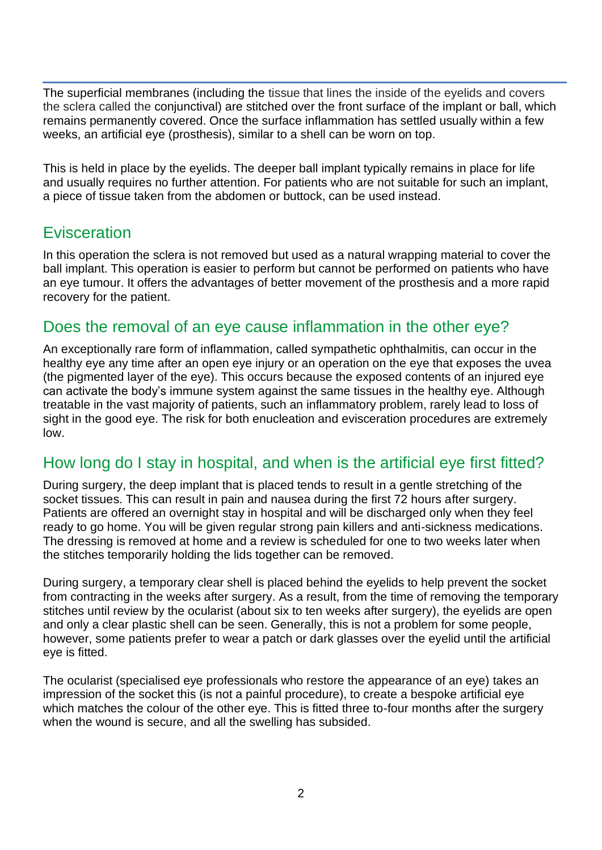The superficial membranes (including the tissue that lines the inside of the eyelids and covers the sclera called the conjunctival) are stitched over the front surface of the implant or ball, which remains permanently covered. Once the surface inflammation has settled usually within a few weeks, an artificial eye (prosthesis), similar to a shell can be worn on top.

This is held in place by the eyelids. The deeper ball implant typically remains in place for life and usually requires no further attention. For patients who are not suitable for such an implant, a piece of tissue taken from the abdomen or buttock, can be used instead.

#### Evisceration

In this operation the sclera is not removed but used as a natural wrapping material to cover the ball implant. This operation is easier to perform but cannot be performed on patients who have an eye tumour. It offers the advantages of better movement of the prosthesis and a more rapid recovery for the patient.

#### Does the removal of an eye cause inflammation in the other eye?

An exceptionally rare form of inflammation, called sympathetic ophthalmitis, can occur in the healthy eye any time after an open eye injury or an operation on the eye that exposes the uvea (the pigmented layer of the eye). This occurs because the exposed contents of an injured eye can activate the body's immune system against the same tissues in the healthy eye. Although treatable in the vast majority of patients, such an inflammatory problem, rarely lead to loss of sight in the good eye. The risk for both enucleation and evisceration procedures are extremely low.

#### How long do I stay in hospital, and when is the artificial eye first fitted?

During surgery, the deep implant that is placed tends to result in a gentle stretching of the socket tissues. This can result in pain and nausea during the first 72 hours after surgery. Patients are offered an overnight stay in hospital and will be discharged only when they feel ready to go home. You will be given regular strong pain killers and anti-sickness medications. The dressing is removed at home and a review is scheduled for one to two weeks later when the stitches temporarily holding the lids together can be removed.

During surgery, a temporary clear shell is placed behind the eyelids to help prevent the socket from contracting in the weeks after surgery. As a result, from the time of removing the temporary stitches until review by the ocularist (about six to ten weeks after surgery), the eyelids are open and only a clear plastic shell can be seen. Generally, this is not a problem for some people, however, some patients prefer to wear a patch or dark glasses over the eyelid until the artificial eye is fitted.

The ocularist (specialised eye professionals who restore the appearance of an eye) takes an impression of the socket this (is not a painful procedure), to create a bespoke artificial eye which matches the colour of the other eye. This is fitted three to-four months after the surgery when the wound is secure, and all the swelling has subsided.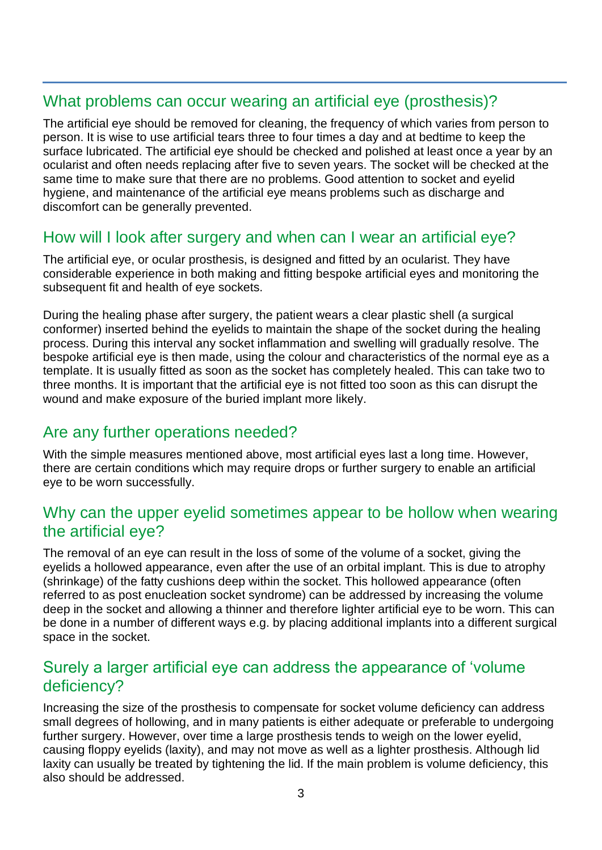#### What problems can occur wearing an artificial eye (prosthesis)?

The artificial eye should be removed for cleaning, the frequency of which varies from person to person. It is wise to use artificial tears three to four times a day and at bedtime to keep the surface lubricated. The artificial eve should be checked and polished at least once a vear by an ocularist and often needs replacing after five to seven years. The socket will be checked at the same time to make sure that there are no problems. Good attention to socket and eyelid hygiene, and maintenance of the artificial eye means problems such as discharge and discomfort can be generally prevented.

#### How will I look after surgery and when can I wear an artificial eye?

The artificial eye, or ocular prosthesis, is designed and fitted by an ocularist. They have considerable experience in both making and fitting bespoke artificial eyes and monitoring the subsequent fit and health of eye sockets.

During the healing phase after surgery, the patient wears a clear plastic shell (a surgical conformer) inserted behind the eyelids to maintain the shape of the socket during the healing process. During this interval any socket inflammation and swelling will gradually resolve. The bespoke artificial eye is then made, using the colour and characteristics of the normal eye as a template. It is usually fitted as soon as the socket has completely healed. This can take two to three months. It is important that the artificial eye is not fitted too soon as this can disrupt the wound and make exposure of the buried implant more likely.

#### Are any further operations needed?

With the simple measures mentioned above, most artificial eyes last a long time. However, there are certain conditions which may require drops or further surgery to enable an artificial eye to be worn successfully.

#### Why can the upper eyelid sometimes appear to be hollow when wearing the artificial eye?

The removal of an eye can result in the loss of some of the volume of a socket, giving the eyelids a hollowed appearance, even after the use of an orbital implant. This is due to atrophy (shrinkage) of the fatty cushions deep within the socket. This hollowed appearance (often referred to as post enucleation socket syndrome) can be addressed by increasing the volume deep in the socket and allowing a thinner and therefore lighter artificial eye to be worn. This can be done in a number of different ways e.g. by placing additional implants into a different surgical space in the socket.

#### Surely a larger artificial eye can address the appearance of 'volume deficiency?

Increasing the size of the prosthesis to compensate for socket volume deficiency can address small degrees of hollowing, and in many patients is either adequate or preferable to undergoing further surgery. However, over time a large prosthesis tends to weigh on the lower evelid. causing floppy eyelids (laxity), and may not move as well as a lighter prosthesis. Although lid laxity can usually be treated by tightening the lid. If the main problem is volume deficiency, this also should be addressed.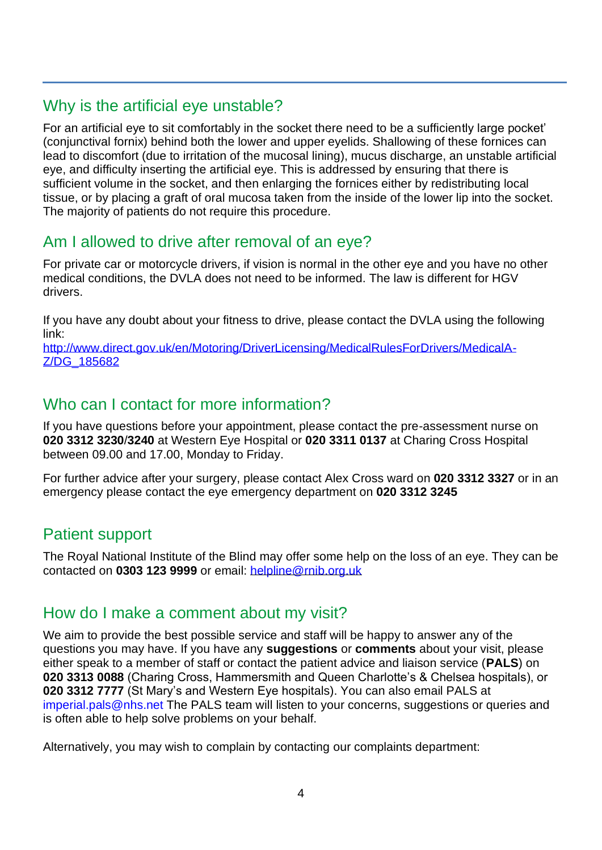#### Why is the artificial eye unstable?

For an artificial eye to sit comfortably in the socket there need to be a sufficiently large pocket' (conjunctival fornix) behind both the lower and upper eyelids. Shallowing of these fornices can lead to discomfort (due to irritation of the mucosal lining), mucus discharge, an unstable artificial eye, and difficulty inserting the artificial eye. This is addressed by ensuring that there is sufficient volume in the socket, and then enlarging the fornices either by redistributing local tissue, or by placing a graft of oral mucosa taken from the inside of the lower lip into the socket. The majority of patients do not require this procedure.

#### Am I allowed to drive after removal of an eye?

For private car or motorcycle drivers, if vision is normal in the other eye and you have no other medical conditions, the DVLA does not need to be informed. The law is different for HGV drivers.

If you have any doubt about your fitness to drive, please contact the DVLA using the following link:

[http://www.direct.gov.uk/en/Motoring/DriverLicensing/MedicalRulesForDrivers/MedicalA-](http://www.direct.gov.uk/en/Motoring/DriverLicensing/MedicalRulesForDrivers/MedicalA-Z/DG_185682)[Z/DG\\_185682](http://www.direct.gov.uk/en/Motoring/DriverLicensing/MedicalRulesForDrivers/MedicalA-Z/DG_185682)

#### Who can I contact for more information?

If you have questions before your appointment, please contact the pre-assessment nurse on **020 3312 3230**/**3240** at Western Eye Hospital or **020 3311 0137** at Charing Cross Hospital between 09.00 and 17.00, Monday to Friday.

For further advice after your surgery, please contact Alex Cross ward on **020 3312 3327** or in an emergency please contact the eye emergency department on **020 3312 3245**

#### Patient support

The Royal National Institute of the Blind may offer some help on the loss of an eye. They can be contacted on **0303 123 9999** or email: [helpline@rnib.org.uk](mailto:helpline@rnib.org.uk)

#### How do I make a comment about my visit?

We aim to provide the best possible service and staff will be happy to answer any of the questions you may have. If you have any **suggestions** or **comments** about your visit, please either speak to a member of staff or contact the patient advice and liaison service (**PALS**) on **020 3313 0088** (Charing Cross, Hammersmith and Queen Charlotte's & Chelsea hospitals), or **020 3312 7777** (St Mary's and Western Eye hospitals). You can also email PALS at [imperial.pals@nhs.net](mailto:imperial.pals@nhs.net) The PALS team will listen to your concerns, suggestions or queries and is often able to help solve problems on your behalf.

Alternatively, you may wish to complain by contacting our complaints department: